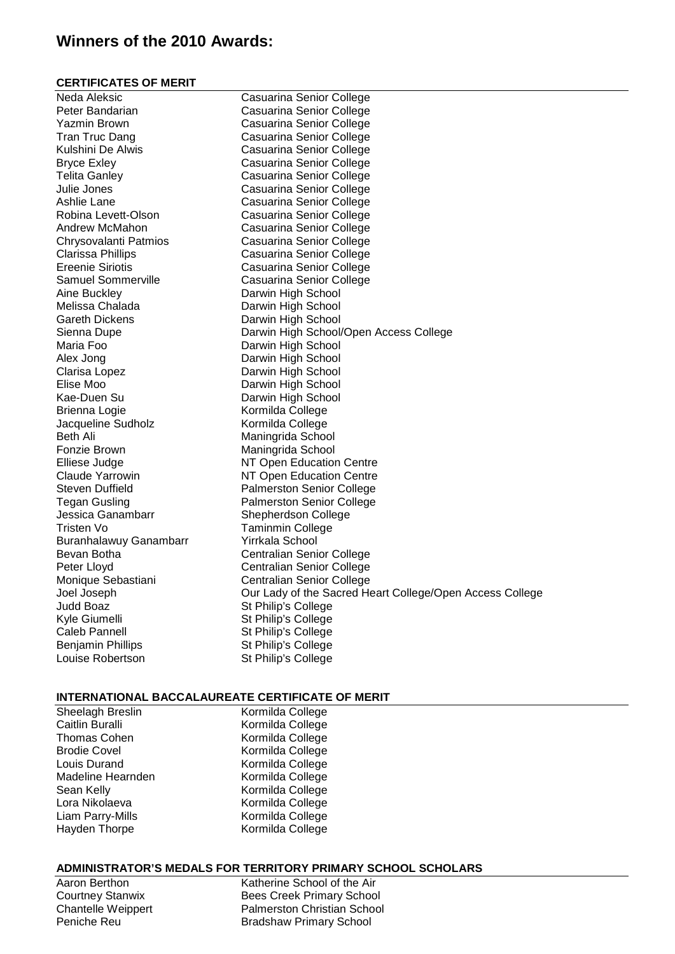### **Winners of the 2010 Awards:**

#### **CERTIFICATES OF MERIT**

| Neda Aleksic              | Casuarina Senior College                                 |
|---------------------------|----------------------------------------------------------|
| Peter Bandarian           | Casuarina Senior College                                 |
| Yazmin Brown              | Casuarina Senior College                                 |
| <b>Tran Truc Dang</b>     | Casuarina Senior College                                 |
| Kulshini De Alwis         | Casuarina Senior College                                 |
| <b>Bryce Exley</b>        | Casuarina Senior College                                 |
| <b>Telita Ganley</b>      | Casuarina Senior College                                 |
| Julie Jones               | Casuarina Senior College                                 |
| Ashlie Lane               | Casuarina Senior College                                 |
| Robina Levett-Olson       | Casuarina Senior College                                 |
| Andrew McMahon            | Casuarina Senior College                                 |
| Chrysovalanti Patmios     | Casuarina Senior College                                 |
| Clarissa Phillips         | Casuarina Senior College                                 |
| <b>Ereenie Siriotis</b>   | Casuarina Senior College                                 |
| <b>Samuel Sommerville</b> | Casuarina Senior College                                 |
| Aine Buckley              | Darwin High School                                       |
| Melissa Chalada           | Darwin High School                                       |
| <b>Gareth Dickens</b>     | Darwin High School                                       |
| Sienna Dupe               | Darwin High School/Open Access College                   |
| Maria Foo                 | Darwin High School                                       |
| Alex Jong                 | Darwin High School                                       |
| Clarisa Lopez             | Darwin High School                                       |
| Elise Moo                 | Darwin High School                                       |
| Kae-Duen Su               | Darwin High School                                       |
| Brienna Logie             | Kormilda College                                         |
| Jacqueline Sudholz        | Kormilda College                                         |
| Beth Ali                  | Maningrida School                                        |
| Fonzie Brown              | Maningrida School                                        |
| Elliese Judge             | NT Open Education Centre                                 |
| Claude Yarrowin           | NT Open Education Centre                                 |
| Steven Duffield           | <b>Palmerston Senior College</b>                         |
| <b>Tegan Gusling</b>      | <b>Palmerston Senior College</b>                         |
| Jessica Ganambarr         | Shepherdson College                                      |
| Tristen Vo                | <b>Taminmin College</b>                                  |
| Buranhalawuy Ganambarr    | Yirrkala School                                          |
| Bevan Botha               | Centralian Senior College                                |
| Peter Lloyd               | <b>Centralian Senior College</b>                         |
| Monique Sebastiani        | <b>Centralian Senior College</b>                         |
| Joel Joseph               | Our Lady of the Sacred Heart College/Open Access College |
| Judd Boaz                 | St Philip's College                                      |
| Kyle Giumelli             | St Philip's College                                      |
| Caleb Pannell             | St Philip's College                                      |
| <b>Benjamin Phillips</b>  | St Philip's College                                      |
| Louise Robertson          | St Philip's College                                      |
|                           |                                                          |

#### **INTERNATIONAL BACCALAUREATE CERTIFICATE OF MERIT**

Sheelagh Breslin Kormilda College<br>Caitlin Buralli Kormilda College Caitlin Buralli **Caitlin Buralli** Kormilda College<br>
Thomas Cohen **Kormilda College** Thomas Cohen Kormilda College<br>Brodie Covel **Kormilda College** Brodie Covel **Kormilda College**<br>
Louis Durand **Markows** Kormilda College Louis Durand<br>
Madeline Hearnden<br>
Kormilda College Madeline Hearnden Kormilda College<br>Sean Kelly Kormilda College Sean Kelly Manus (Kormilda College Lora Nikolaeva Manus (Kormilda College Manus College Manus College Manus College Manus (College Manus College Manus College Manus College Manus College Manus College Manus College Manus C Lora Nikolaeva<br>
Liam Parry-Mills<br>
Kormilda College Hayden Thorpe Kormilda College

Kormilda College

#### **ADMINISTRATOR'S MEDALS FOR TERRITORY PRIMARY SCHOOL SCHOLARS**

Aaron Berthon Katherine School of the Air<br>
Courtney Stanwix Bees Creek Primary School Courtney Stanwix **Bees Creek Primary School**<br>Chantelle Weippert **Bulges** Palmerston Christian School Palmerston Christian School Peniche Reu Bradshaw Primary School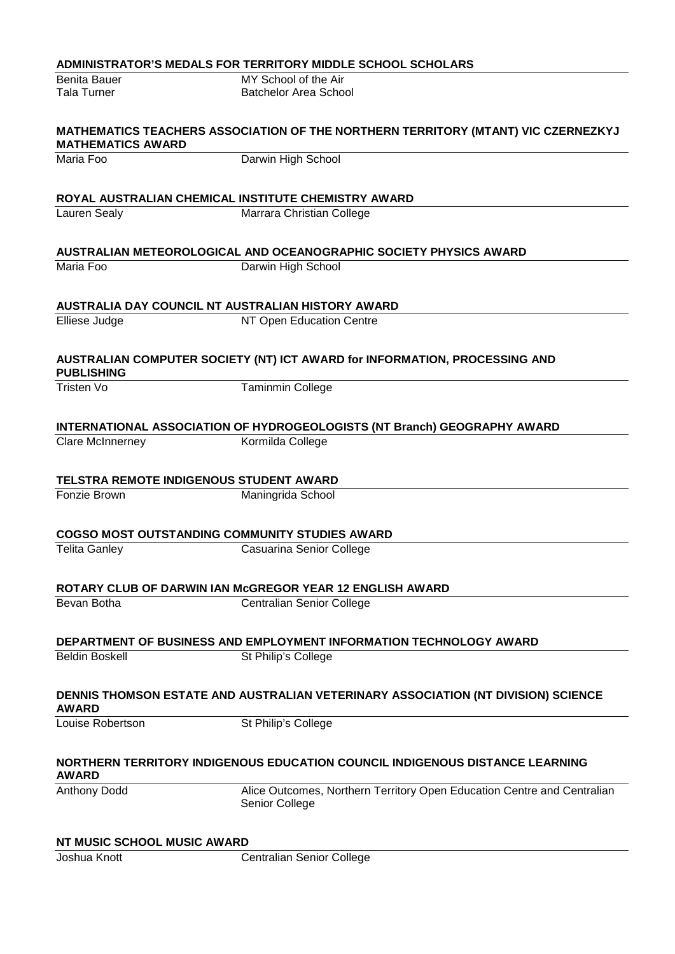|                                    | <b>ADMINISTRATOR'S MEDALS FOR TERRITORY MIDDLE SCHOOL SCHOLARS</b>                           |
|------------------------------------|----------------------------------------------------------------------------------------------|
| <b>Benita Bauer</b>                | MY School of the Air                                                                         |
| <b>Tala Turner</b>                 | <b>Batchelor Area School</b>                                                                 |
| <b>MATHEMATICS AWARD</b>           | <b>MATHEMATICS TEACHERS ASSOCIATION OF THE NORTHERN TERRITORY (MTANT) VIC CZERNEZKYJ</b>     |
| Maria Foo                          | Darwin High School                                                                           |
|                                    | ROYAL AUSTRALIAN CHEMICAL INSTITUTE CHEMISTRY AWARD                                          |
| <b>Lauren Sealy</b>                | Marrara Christian College                                                                    |
|                                    |                                                                                              |
|                                    | AUSTRALIAN METEOROLOGICAL AND OCEANOGRAPHIC SOCIETY PHYSICS AWARD                            |
| Maria Foo                          | Darwin High School                                                                           |
|                                    | AUSTRALIA DAY COUNCIL NT AUSTRALIAN HISTORY AWARD                                            |
| Elliese Judge                      | NT Open Education Centre                                                                     |
| <b>PUBLISHING</b>                  | AUSTRALIAN COMPUTER SOCIETY (NT) ICT AWARD for INFORMATION, PROCESSING AND                   |
| <b>Tristen Vo</b>                  | <b>Taminmin College</b>                                                                      |
|                                    |                                                                                              |
| <b>Clare McInnerney</b>            | INTERNATIONAL ASSOCIATION OF HYDROGEOLOGISTS (NT Branch) GEOGRAPHY AWARD<br>Kormilda College |
|                                    |                                                                                              |
|                                    | TELSTRA REMOTE INDIGENOUS STUDENT AWARD                                                      |
| Fonzie Brown                       | Maningrida School                                                                            |
|                                    |                                                                                              |
| <b>Telita Ganley</b>               | <b>COGSO MOST OUTSTANDING COMMUNITY STUDIES AWARD</b>                                        |
|                                    | Casuarina Senior College                                                                     |
|                                    | ROTARY CLUB OF DARWIN IAN McGREGOR YEAR 12 ENGLISH AWARD                                     |
| Bevan Botha                        | <b>Centralian Senior College</b>                                                             |
|                                    | DEPARTMENT OF BUSINESS AND EMPLOYMENT INFORMATION TECHNOLOGY AWARD                           |
| <b>Beldin Boskell</b>              | St Philip's College                                                                          |
|                                    |                                                                                              |
| <b>AWARD</b>                       | DENNIS THOMSON ESTATE AND AUSTRALIAN VETERINARY ASSOCIATION (NT DIVISION) SCIENCE            |
| Louise Robertson                   | St Philip's College                                                                          |
| <b>AWARD</b>                       | NORTHERN TERRITORY INDIGENOUS EDUCATION COUNCIL INDIGENOUS DISTANCE LEARNING                 |
| Anthony Dodd                       | Alice Outcomes, Northern Territory Open Education Centre and Centralian                      |
|                                    | Senior College                                                                               |
| <b>NT MUSIC SCHOOL MUSIC AWARD</b> |                                                                                              |
| Joshua Knott                       | <b>Centralian Senior College</b>                                                             |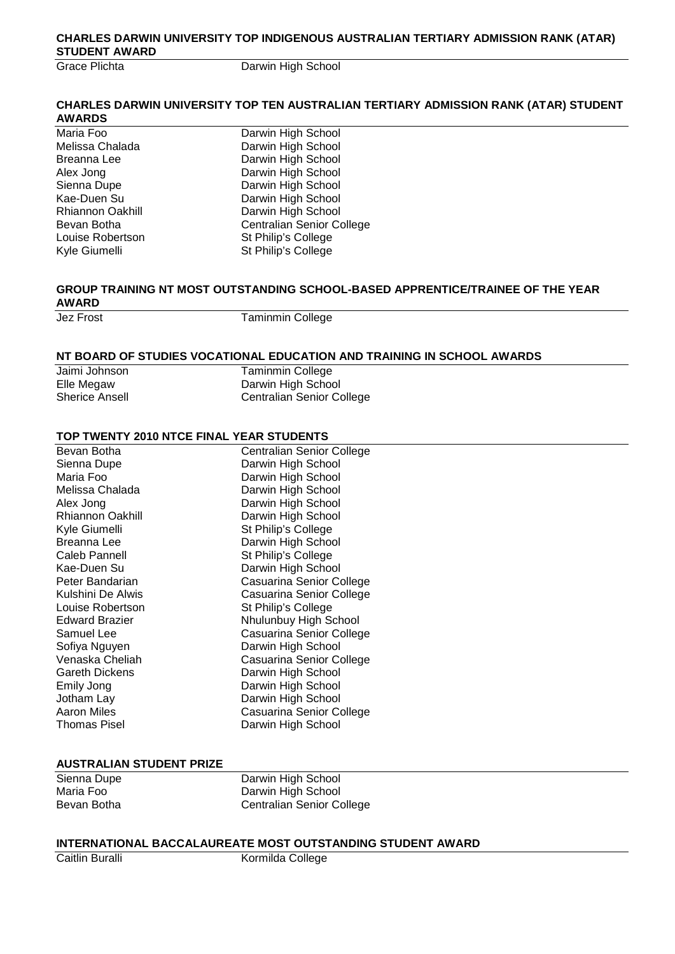#### **CHARLES DARWIN UNIVERSITY TOP INDIGENOUS AUSTRALIAN TERTIARY ADMISSION RANK (ATAR) STUDENT AWARD**

Grace Plichta **Darwin High School** 

#### **CHARLES DARWIN UNIVERSITY TOP TEN AUSTRALIAN TERTIARY ADMISSION RANK (ATAR) STUDENT AWARDS**

Maria Foo **Darwin High School**<br>Melissa Chalada **Darwin High School** Melissa Chalada **Darwin High School**<br>Breanna Lee **Darwin High School** Breanna Lee Darwin High School<br>Alex Jong Darwin High School Alex Jong Darwin High School<br>Sienna Dupe Darwin High School Sienna Dupe **Darwin High School**<br>
Kae-Duen Su **Darwin High School** Kae-Duen Su **Darwin High School**<br>Rhiannon Oakhill **Darwin High School** Rhiannon Oakhill **Darwin High School**<br>Bevan Botha<br>Centralian Senior Co Bevan Botha<br>
Louise Robertson<br>
Centralian Senior College<br>
St Philip's College St Philip's College Kyle Giumelli St Philip's College

## **GROUP TRAINING NT MOST OUTSTANDING SCHOOL-BASED APPRENTICE/TRAINEE OF THE YEAR AWARD**

**Taminmin College** 

#### **NT BOARD OF STUDIES VOCATIONAL EDUCATION AND TRAINING IN SCHOOL AWARDS**

| Jaimi Johnson         | <b>Taminmin College</b>          |
|-----------------------|----------------------------------|
| Elle Megaw            | Darwin High School               |
| <b>Sherice Ansell</b> | <b>Centralian Senior College</b> |

#### **TOP TWENTY 2010 NTCE FINAL YEAR STUDENTS**

| Bevan Botha             | <b>Centralian Senior College</b> |
|-------------------------|----------------------------------|
| Sienna Dupe             | Darwin High School               |
| Maria Foo               | Darwin High School               |
| Melissa Chalada         | Darwin High School               |
| Alex Jong               | Darwin High School               |
| <b>Rhiannon Oakhill</b> | Darwin High School               |
| Kyle Giumelli           | St Philip's College              |
| Breanna Lee             | Darwin High School               |
| Caleb Pannell           | St Philip's College              |
| Kae-Duen Su             | Darwin High School               |
| Peter Bandarian         | Casuarina Senior College         |
| Kulshini De Alwis       | Casuarina Senior College         |
| Louise Robertson        | St Philip's College              |
| <b>Edward Brazier</b>   | Nhulunbuy High School            |
| Samuel Lee              | Casuarina Senior College         |
| Sofiya Nguyen           | Darwin High School               |
| Venaska Cheliah         | Casuarina Senior College         |
| <b>Gareth Dickens</b>   | Darwin High School               |
| Emily Jong              | Darwin High School               |
| Jotham Lay              | Darwin High School               |
| Aaron Miles             | Casuarina Senior College         |
| <b>Thomas Pisel</b>     | Darwin High School               |

#### **AUSTRALIAN STUDENT PRIZE**

| Sienna Dupe |  |  |
|-------------|--|--|
| Maria Foo   |  |  |
| Bevan Botha |  |  |

Darwin High School Darwin High School **Centralian Senior College** 

#### **INTERNATIONAL BACCALAUREATE MOST OUTSTANDING STUDENT AWARD**

Caitlin Buralli **Kormilda College**